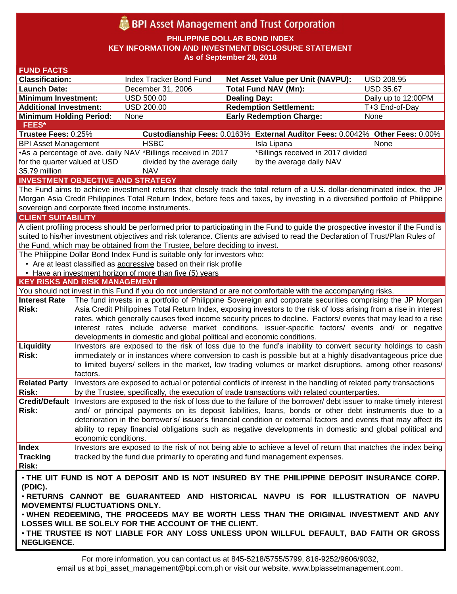# **BPI** Asset Management and Trust Corporation

**PHILIPPINE DOLLAR BOND INDEX**

**KEY INFORMATION AND INVESTMENT DISCLOSURE STATEMENT**

**As of September 28, 2018**

| <b>FUND FACTS</b>                                                                                                                  |                                                                                                                    |                                                                           |                                                                                                                                  |                     |  |
|------------------------------------------------------------------------------------------------------------------------------------|--------------------------------------------------------------------------------------------------------------------|---------------------------------------------------------------------------|----------------------------------------------------------------------------------------------------------------------------------|---------------------|--|
| <b>Classification:</b>                                                                                                             |                                                                                                                    | Index Tracker Bond Fund                                                   | <b>Net Asset Value per Unit (NAVPU):</b>                                                                                         | <b>USD 208.95</b>   |  |
| <b>Launch Date:</b>                                                                                                                |                                                                                                                    | December 31, 2006                                                         | <b>Total Fund NAV (Mn):</b>                                                                                                      | <b>USD 35.67</b>    |  |
| <b>Minimum Investment:</b>                                                                                                         |                                                                                                                    | <b>USD 500.00</b>                                                         | <b>Dealing Day:</b>                                                                                                              | Daily up to 12:00PM |  |
| <b>Additional Investment:</b>                                                                                                      |                                                                                                                    | <b>USD 200.00</b>                                                         | <b>Redemption Settlement:</b>                                                                                                    | T+3 End-of-Day      |  |
| <b>Minimum Holding Period:</b>                                                                                                     |                                                                                                                    | None                                                                      | <b>Early Redemption Charge:</b>                                                                                                  | None                |  |
| <b>FEES*</b>                                                                                                                       |                                                                                                                    |                                                                           |                                                                                                                                  |                     |  |
| Trustee Fees: 0.25%                                                                                                                |                                                                                                                    |                                                                           | Custodianship Fees: 0.0163% External Auditor Fees: 0.0042% Other Fees: 0.00%                                                     |                     |  |
| <b>BPI Asset Management</b>                                                                                                        |                                                                                                                    | <b>HSBC</b>                                                               | Isla Lipana                                                                                                                      | None                |  |
| •As a percentage of ave. daily NAV *Billings received in 2017<br>*Billings received in 2017 divided                                |                                                                                                                    |                                                                           |                                                                                                                                  |                     |  |
| for the quarter valued at USD<br>divided by the average daily<br>by the average daily NAV                                          |                                                                                                                    |                                                                           |                                                                                                                                  |                     |  |
| 35.79 million<br><b>NAV</b>                                                                                                        |                                                                                                                    |                                                                           |                                                                                                                                  |                     |  |
| <b>INVESTMENT OBJECTIVE AND STRATEGY</b>                                                                                           |                                                                                                                    |                                                                           |                                                                                                                                  |                     |  |
| The Fund aims to achieve investment returns that closely track the total return of a U.S. dollar-denominated index, the JP         |                                                                                                                    |                                                                           |                                                                                                                                  |                     |  |
| Morgan Asia Credit Philippines Total Return Index, before fees and taxes, by investing in a diversified portfolio of Philippine    |                                                                                                                    |                                                                           |                                                                                                                                  |                     |  |
| sovereign and corporate fixed income instruments.                                                                                  |                                                                                                                    |                                                                           |                                                                                                                                  |                     |  |
| <b>CLIENT SUITABILITY</b>                                                                                                          |                                                                                                                    |                                                                           |                                                                                                                                  |                     |  |
| A client profiling process should be performed prior to participating in the Fund to guide the prospective investor if the Fund is |                                                                                                                    |                                                                           |                                                                                                                                  |                     |  |
| suited to his/her investment objectives and risk tolerance. Clients are advised to read the Declaration of Trust/Plan Rules of     |                                                                                                                    |                                                                           |                                                                                                                                  |                     |  |
| the Fund, which may be obtained from the Trustee, before deciding to invest.                                                       |                                                                                                                    |                                                                           |                                                                                                                                  |                     |  |
|                                                                                                                                    |                                                                                                                    | The Philippine Dollar Bond Index Fund is suitable only for investors who: |                                                                                                                                  |                     |  |
|                                                                                                                                    |                                                                                                                    | • Are at least classified as aggressive based on their risk profile       |                                                                                                                                  |                     |  |
|                                                                                                                                    |                                                                                                                    | • Have an investment horizon of more than five (5) years                  |                                                                                                                                  |                     |  |
| <b>KEY RISKS AND RISK MANAGEMENT</b>                                                                                               |                                                                                                                    |                                                                           |                                                                                                                                  |                     |  |
|                                                                                                                                    |                                                                                                                    |                                                                           | You should not invest in this Fund if you do not understand or are not comfortable with the accompanying risks.                  |                     |  |
| <b>Interest Rate</b>                                                                                                               |                                                                                                                    |                                                                           | The fund invests in a portfolio of Philippine Sovereign and corporate securities comprising the JP Morgan                        |                     |  |
| Risk:                                                                                                                              | Asia Credit Philippines Total Return Index, exposing investors to the risk of loss arising from a rise in interest |                                                                           |                                                                                                                                  |                     |  |
|                                                                                                                                    | rates, which generally causes fixed income security prices to decline. Factors/ events that may lead to a rise     |                                                                           |                                                                                                                                  |                     |  |
|                                                                                                                                    |                                                                                                                    |                                                                           | interest rates include adverse market conditions, issuer-specific factors/ events and/ or negative                               |                     |  |
|                                                                                                                                    |                                                                                                                    | developments in domestic and global political and economic conditions.    |                                                                                                                                  |                     |  |
| Liquidity                                                                                                                          |                                                                                                                    |                                                                           | Investors are exposed to the risk of loss due to the fund's inability to convert security holdings to cash                       |                     |  |
| Risk:                                                                                                                              | immediately or in instances where conversion to cash is possible but at a highly disadvantageous price due         |                                                                           |                                                                                                                                  |                     |  |
|                                                                                                                                    |                                                                                                                    |                                                                           | to limited buyers/ sellers in the market, low trading volumes or market disruptions, among other reasons/                        |                     |  |
|                                                                                                                                    | factors.                                                                                                           |                                                                           |                                                                                                                                  |                     |  |
| <b>Related Party</b>                                                                                                               |                                                                                                                    |                                                                           | Investors are exposed to actual or potential conflicts of interest in the handling of related party transactions                 |                     |  |
| Risk:                                                                                                                              |                                                                                                                    |                                                                           | by the Trustee, specifically, the execution of trade transactions with related counterparties.                                   |                     |  |
|                                                                                                                                    |                                                                                                                    |                                                                           | Credit/Default Investors are exposed to the risk of loss due to the failure of the borrower/ debt issuer to make timely interest |                     |  |
| Risk:                                                                                                                              |                                                                                                                    |                                                                           | and/ or principal payments on its deposit liabilities, loans, bonds or other debt instruments due to a                           |                     |  |
|                                                                                                                                    |                                                                                                                    |                                                                           | deterioration in the borrower's/ issuer's financial condition or external factors and events that may affect its                 |                     |  |
|                                                                                                                                    |                                                                                                                    |                                                                           | ability to repay financial obligations such as negative developments in domestic and global political and                        |                     |  |
|                                                                                                                                    | economic conditions.                                                                                               |                                                                           |                                                                                                                                  |                     |  |
| <b>Index</b>                                                                                                                       |                                                                                                                    |                                                                           | Investors are exposed to the risk of not being able to achieve a level of return that matches the index being                    |                     |  |
| <b>Tracking</b>                                                                                                                    |                                                                                                                    |                                                                           | tracked by the fund due primarily to operating and fund management expenses.                                                     |                     |  |
| Risk:                                                                                                                              |                                                                                                                    |                                                                           |                                                                                                                                  |                     |  |
| . THE UIT FUND IS NOT A DEPOSIT AND IS NOT INSURED BY THE PHILIPPINE DEPOSIT INSURANCE CORP.                                       |                                                                                                                    |                                                                           |                                                                                                                                  |                     |  |
| (PDIC).                                                                                                                            |                                                                                                                    |                                                                           |                                                                                                                                  |                     |  |
| . RETURNS CANNOT BE GUARANTEED AND HISTORICAL NAVPU IS FOR ILLUSTRATION OF NAVPU                                                   |                                                                                                                    |                                                                           |                                                                                                                                  |                     |  |
| <b>MOVEMENTS/ FLUCTUATIONS ONLY.</b>                                                                                               |                                                                                                                    |                                                                           |                                                                                                                                  |                     |  |
| . WHEN REDEEMING, THE PROCEEDS MAY BE WORTH LESS THAN THE ORIGINAL INVESTMENT AND ANY                                              |                                                                                                                    |                                                                           |                                                                                                                                  |                     |  |
| LOSSES WILL BE SOLELY FOR THE ACCOUNT OF THE CLIENT.                                                                               |                                                                                                                    |                                                                           |                                                                                                                                  |                     |  |
| . THE TRUSTEE IS NOT LIABLE FOR ANY LOSS UNLESS UPON WILLFUL DEFAULT, BAD FAITH OR GROSS                                           |                                                                                                                    |                                                                           |                                                                                                                                  |                     |  |
| <b>NEGLIGENCE.</b>                                                                                                                 |                                                                                                                    |                                                                           |                                                                                                                                  |                     |  |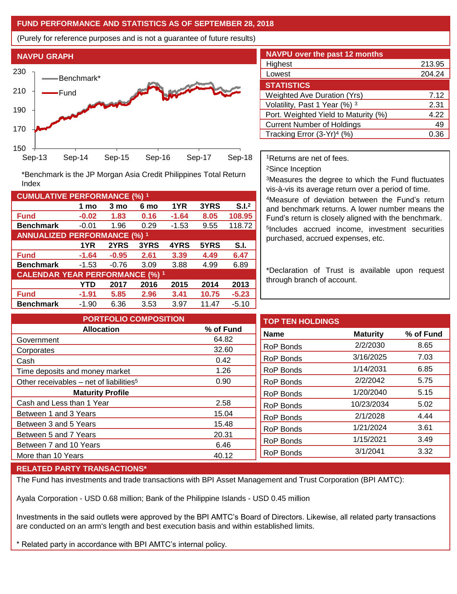#### **FUND PERFORMANCE AND STATISTICS AS OF SEPTEMBER 28, 2018**

(Purely for reference purposes and is not a guarantee of future results)



**Fund -0.02 1.83 0.16 -1.64 8.05 108.95 Benchmark** -0.01 1.96 0.29 -1.53 9.55 118.72

\*Benchmark is the JP Morgan Asia Credit Philippines Total Return

**Fund -1.64 -0.95 2.61 3.39 4.49 6.47 Benchmark** -1.53 -0.76 3.09 3.88 4.99 6.89

**Fund -1.91 5.85 2.96 3.41 10.75 -5.23 Benchmark** -1.90 6.36 3.53 3.97 11.47 -5.10

**1 mo 3 mo 6 mo 1YR 3YRS S.I.<sup>2</sup>**

**1YR 2YRS 3YRS 4YRS 5YRS S.I.**

**YTD 2017 2016 2015 2014 2013**

| <b>NAVPU over the past 12 months</b> |        |
|--------------------------------------|--------|
| Highest                              | 213.95 |
| Lowest                               | 204.24 |
| <b>STATISTICS</b>                    |        |
| <b>Weighted Ave Duration (Yrs)</b>   | 7.12   |
| Volatility, Past 1 Year (%) 3        | 2.31   |
| Port. Weighted Yield to Maturity (%) | 4.22   |
| <b>Current Number of Holdings</b>    | 49     |
| Tracking Error $(3-Yr)^4$ (%)        | በ 36   |

<sup>1</sup>Returns are net of fees.

<sup>2</sup>Since Inception

<sup>3</sup>Measures the degree to which the Fund fluctuates vis-à-vis its average return over a period of time.

<sup>4</sup>Measure of deviation between the Fund's return and benchmark returns. A lower number means the Fund's return is closely aligned with the benchmark. 5 Includes accrued income, investment securities purchased, accrued expenses, etc.

\*Declaration of Trust is available upon request through branch of account.

**TOP TEN HOLDINGS Name Maturity % of Fund** RoP Bonds 2/2/2030 8.65 RoP Bonds 3/16/2025 7.03 RoP Bonds 1/14/2031 6.85 RoP Bonds 2/2/2042 5.75 RoP Bonds 1/20/2040 5.15 RoP Bonds 10/23/2034 5.02 RoP Bonds 2/1/2028 4.44 RoP Bonds 1/21/2024 3.61 RoP Bonds 1/15/2021 3.49 RoP Bonds 3/1/2041 3.32 **PORTFOLIO COMPOSITION Allocation % of Fund** Government 64.82 Corporates 32.60 Cash 0.42 Time deposits and money market 1.26 Other receivables – net of liabilities<sup>5</sup>  $0.90$ **Maturity Profile** Cash and Less than 1 Year 2.58 Between 1 and 3 Years 15.04 Between 3 and 5 Years 15.48 Between 5 and 7 Years 20.31 Between 7 and 10 Years 6.46 More than 10 Years 40.12

### **RELATED PARTY TRANSACTIONS\***

**CUMULATIVE PERFORMANCE (%) <sup>1</sup>**

Index

**ANNUALIZED PERFORMANCE (%) <sup>1</sup>**

**CALENDAR YEAR PERFORMANCE (%) <sup>1</sup>**

The Fund has investments and trade transactions with BPI Asset Management and Trust Corporation (BPI AMTC):

Ayala Corporation - USD 0.68 million; Bank of the Philippine Islands - USD 0.45 million

Investments in the said outlets were approved by the BPI AMTC's Board of Directors. Likewise, all related party transactions are conducted on an arm's length and best execution basis and within established limits.

\* Related party in accordance with BPI AMTC's internal policy.